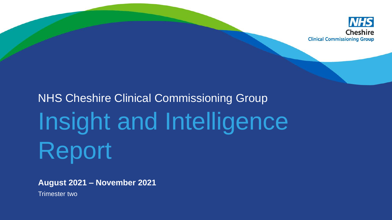

# NHS Cheshire Clinical Commissioning Group Insight and Intelligence Report

**August 2021 – November 2021** 

Trimester two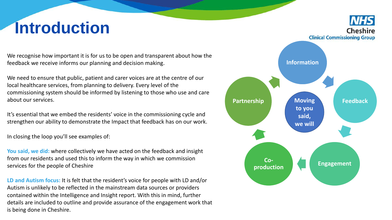# **Introduction**

We recognise how important it is for us to be open and transparent about how the feedback we receive informs our planning and decision making.

We need to ensure that public, patient and carer voices are at the centre of our local healthcare services, from planning to delivery. Every level of the commissioning system should be informed by listening to those who use and care about our services.

It's essential that we embed the residents' voice in the commissioning cycle and strengthen our ability to demonstrate the Impact that feedback has on our work.

In closing the loop you'll see examples of:

**You said, we did:** where collectively we have acted on the feedback and insight from our residents and used this to inform the way in which we commission services for the people of Cheshire

**LD and Autism focus:** It is felt that the resident's voice for people with LD and/or Autism is unlikely to be reflected in the mainstream data sources or providers contained within the Intelligence and Insight report. With this in mind, further details are included to outline and provide assurance of the engagement work that is being done in Cheshire.

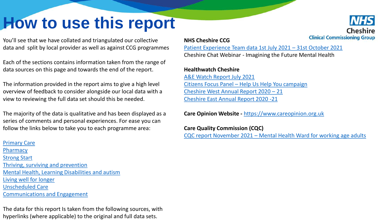# <span id="page-2-0"></span>**How to use this report**



You'll see that we have collated and triangulated our collective data and split by local provider as well as against CCG programmes

Each of the sections contains information taken from the range of data sources on this page and towards the end of the report.

The information provided in the report aims to give a high level overview of feedback to consider alongside our local data with a view to reviewing the full data set should this be needed.

The majority of the data is qualitative and has been displayed as a series of comments and personal experiences. For ease you can follow the links below to take you to each programme area:

# [Primary Care](#page-8-0) **[Pharmacy](#page-13-0)** [Strong Start](#page-14-0) [Thriving, surviving and prevention](#page-15-0) [Mental Health, Learning Disabilities and autism](#page-19-0) [Living well for longer](#page-22-0)  Unscheduled Care [Communications and Engagement](#page-30-0)

The data for this report Is taken from the following sources, with hyperlinks (where applicable) to the original and full data sets.

## **NHS Cheshire CCG**

[Patient Experience Team data 1st July 2021](https://westcheshireway.glasscubes.com/share/s/o6kojnjhtncft3kuflsd1nnuub) – 31st October 2021

Cheshire Chat Webinar - Imagining the Future Mental Health

# **Healthwatch Cheshire**

[A&E Watch Report July 2021](https://healthwatchcwac.org.uk/wp-content/uploads/2021/08/AE-Watch-July-2021-Report-2.pdf) Citizens Focus Panel – [Help Us Help You campaign](https://healthwatchcwac.org.uk/wp-content/uploads/2021/10/NHS-Help-Us-Help-You-Campaign-HWC-CFP-Report-August-2021.pdf) [Cheshire West Annual Report 2020](https://healthwatchcwac.org.uk/wp-content/uploads/2021/06/Healthwatch-Cheshire-West-Annual-Report-2020-21-FINAL.pdf) – 21 [Cheshire East Annual Report 2020 -21](https://healthwatchcheshireeast.org.uk/wp-content/uploads/2021/07/Healthwatch-Cheshire-East-Annual-Report-2020-21-FINAL.pdf)

**Care Opinion Website -** [https://www.careopinion.org.uk](https://www.careopinion.org.uk/)

**Care Quality Commission (CQC)** CQC report November 2021 – [Mental Health Ward for working age adults](https://api.cqc.org.uk/public/v1/reports/a1ad81ec-019c-456c-81d9-131dbd605d79?20211117080101)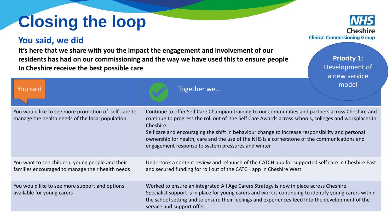# **Closing the loop**

# **You said, we did**

**It's here that we share with you the impact the engagement and involvement of our residents has had on our commissioning and the way we have used this to ensure people In Cheshire receive the best possible care** 

You would like to see more promotion of self-care to manage the health needs of the local population Continue to offer Self Care Champion training to our communities and partners across Cheshire and continue to progress the roll out of the Self Care Awards across schools, colleges and workplaces In Cheshire. Self care and encouraging the shift in behaviour change to increase responsibility and personal ownership for health, care and the use of the NHS is a cornerstone of the communications and engagement response to system pressures and winter You want to see children, young people and their families encouraged to manage their health needs Undertook a content review and relaunch of the CATCH app for supported self care in Cheshire East and secured funding for roll out of the CATCH app In Cheshire West You would like to see more support and options available for young carers Worked to ensure an integrated All Age Carers Strategy is now in place across Cheshire. Specialist support is in place for young carers and work is continuing to identify young carers within the school setting and to ensure their feelings and experiences feed Into the development of the service and support offer. You said **The Community of the Community Community** Together we… model



**Priority 1:** Development of a new service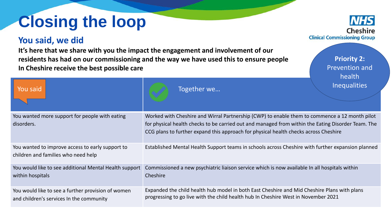# **Closing the loop**

# **You said, we did**

**It's here that we share with you the impact the engagement and involvement of our residents has had on our commissioning and the way we have used this to ensure people In Cheshire receive the best possible care** 

You wanted more support for people with eating disorders. Worked with Cheshire and Wirral Partnership (CWP) to enable them to commence a 12 month pilot for physical health checks to be carried out and managed from within the Eating Disorder Team. The CCG plans to further expand this approach for physical health checks across Cheshire You wanted to improve access to early support to children and families who need help Established Mental Health Support teams in schools across Cheshire with further expansion planned You would like to see additional Mental Health support within hospitals Commissioned a new psychiatric liaison service which is now available In all hospitals within Cheshire You would like to see a further provision of women and children's services In the community Expanded the child health hub model in both East Cheshire and Mid Cheshire Plans with plans progressing to go live with the child health hub In Cheshire West in November 2021 You said **The Community of the Community Community** Together we… **Inequalities** 



**Priority 2:** Prevention and health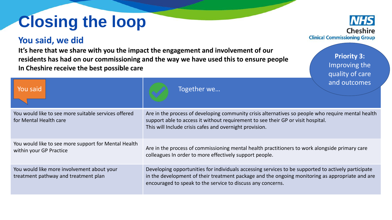# **Closing the loop**

# **You said, we did**

**It's here that we share with you the impact the engagement and involvement of our residents has had on our commissioning and the way we have used this to ensure people In Cheshire receive the best possible care** 

You would like to see more suitable services offered for Mental Health care Are in the process of developing community crisis alternatives so people who require mental health support able to access it without requirement to see their GP or visit hospital. This will Include crisis cafes and overnight provision. You would like to see more support for Mental Health within your GP Practice Are in the process of commissioning mental health practitioners to work alongside primary care colleagues In order to more effectively support people. You would like more involvement about your treatment pathway and treatment plan Developing opportunities for individuals accessing services to be supported to actively participate in the development of their treatment package and the ongoing monitoring as appropriate and are encouraged to speak to the service to discuss any concerns. You said **The Community of the Community Community** Together we… and outcomes



**Priority 3:** Improving the quality of care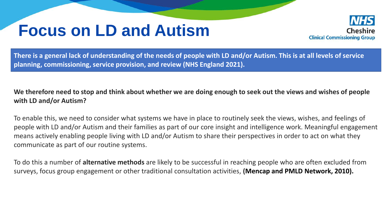# **Focus on LD and Autism**



**There is a general lack of understanding of the needs of people with LD and/or Autism. This is at all levels of service planning, commissioning, service provision, and review (NHS England 2021).** 

# **We therefore need to stop and think about whether we are doing enough to seek out the views and wishes of people with LD and/or Autism?**

To enable this, we need to consider what systems we have in place to routinely seek the views, wishes, and feelings of people with LD and/or Autism and their families as part of our core insight and intelligence work. Meaningful engagement means actively enabling people living with LD and/or Autism to share their perspectives in order to act on what they communicate as part of our routine systems.

To do this a number of **alternative methods** are likely to be successful in reaching people who are often excluded from surveys, focus group engagement or other traditional consultation activities, **(Mencap and PMLD Network, 2010).**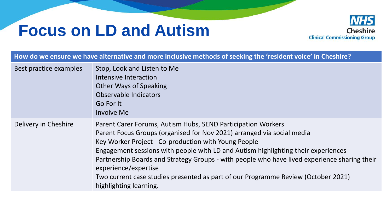# **Focus on LD and Autism**



|                        | How do we ensure we have alternative and more inclusive methods of seeking the 'resident voice' in Cheshire?                                                                                                                                                                                                                                                                                                                                                                                                               |
|------------------------|----------------------------------------------------------------------------------------------------------------------------------------------------------------------------------------------------------------------------------------------------------------------------------------------------------------------------------------------------------------------------------------------------------------------------------------------------------------------------------------------------------------------------|
| Best practice examples | Stop, Look and Listen to Me<br>Intensive Interaction<br><b>Other Ways of Speaking</b><br>Observable Indicators<br>Go For It<br><b>Involve Me</b>                                                                                                                                                                                                                                                                                                                                                                           |
| Delivery in Cheshire   | Parent Carer Forums, Autism Hubs, SEND Participation Workers<br>Parent Focus Groups (organised for Nov 2021) arranged via social media<br>Key Worker Project - Co-production with Young People<br>Engagement sessions with people with LD and Autism highlighting their experiences<br>Partnership Boards and Strategy Groups - with people who have lived experience sharing their<br>experience/expertise<br>Two current case studies presented as part of our Programme Review (October 2021)<br>highlighting learning. |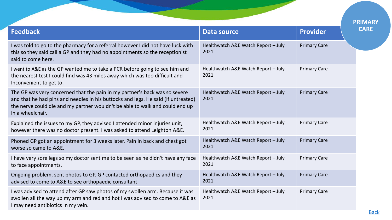<span id="page-8-0"></span>

|                                                                                                                                                                                                                                                                     |                                             |                     | <b>PRIMARY</b> |
|---------------------------------------------------------------------------------------------------------------------------------------------------------------------------------------------------------------------------------------------------------------------|---------------------------------------------|---------------------|----------------|
| <b>Feedback</b>                                                                                                                                                                                                                                                     | <b>Data source</b>                          | <b>Provider</b>     | <b>CARE</b>    |
| I was told to go to the pharmacy for a referral however I did not have luck with<br>this so they said call a GP and they had no appointments so the receptionist<br>said to come here.                                                                              | Healthwatch A&E Watch Report - July<br>2021 | <b>Primary Care</b> |                |
| I went to A&E as the GP wanted me to take a PCR before going to see him and<br>the nearest test I could find was 43 miles away which was too difficult and<br>Inconvenient to get to.                                                                               | Healthwatch A&E Watch Report - July<br>2021 | <b>Primary Care</b> |                |
| The GP was very concerned that the pain in my partner's back was so severe<br>and that he had pins and needles in his buttocks and legs. He said (If untreated)<br>the nerve could die and my partner wouldn't be able to walk and could end up<br>In a wheelchair. | Healthwatch A&E Watch Report - July<br>2021 | <b>Primary Care</b> |                |
| Explained the issues to my GP, they advised I attended minor injuries unit,<br>however there was no doctor present. I was asked to attend Leighton A&E.                                                                                                             | Healthwatch A&E Watch Report - July<br>2021 | <b>Primary Care</b> |                |
| Phoned GP got an appointment for 3 weeks later. Pain In back and chest got<br>worse so came to A&E.                                                                                                                                                                 | Healthwatch A&E Watch Report - July<br>2021 | <b>Primary Care</b> |                |
| I have very sore legs so my doctor sent me to be seen as he didn't have any face<br>to face appointments.                                                                                                                                                           | Healthwatch A&E Watch Report - July<br>2021 | <b>Primary Care</b> |                |
| Ongoing problem, sent photos to GP. GP contacted orthopaedics and they<br>advised to come to A&E to see orthopaedic consultant                                                                                                                                      | Healthwatch A&E Watch Report - July<br>2021 | <b>Primary Care</b> |                |
| I was advised to attend after GP saw photos of my swollen arm. Because it was<br>swollen all the way up my arm and red and hot I was advised to come to A&E as<br>I may need antibiotics In my vein.                                                                | Healthwatch A&E Watch Report - July<br>2021 | <b>Primary Care</b> |                |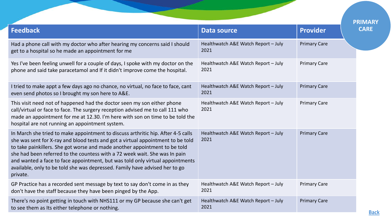|                                                                                                                                                                                                                                                                                                                                                                                                                                                                                                             |                                             |                     | <b>PRIMARY</b> |
|-------------------------------------------------------------------------------------------------------------------------------------------------------------------------------------------------------------------------------------------------------------------------------------------------------------------------------------------------------------------------------------------------------------------------------------------------------------------------------------------------------------|---------------------------------------------|---------------------|----------------|
| <b>Feedback</b>                                                                                                                                                                                                                                                                                                                                                                                                                                                                                             | <b>Data source</b>                          | <b>Provider</b>     |                |
| Had a phone call with my doctor who after hearing my concerns said I should<br>get to a hospital so he made an appointment for me                                                                                                                                                                                                                                                                                                                                                                           | Healthwatch A&E Watch Report - July<br>2021 | <b>Primary Care</b> |                |
| Yes I've been feeling unwell for a couple of days, I spoke with my doctor on the<br>phone and said take paracetamol and If it didn't improve come the hospital.                                                                                                                                                                                                                                                                                                                                             | Healthwatch A&E Watch Report - July<br>2021 | <b>Primary Care</b> |                |
| I tried to make appt a few days ago no chance, no virtual, no face to face, cant<br>even send photos so I brought my son here to A&E.                                                                                                                                                                                                                                                                                                                                                                       | Healthwatch A&E Watch Report - July<br>2021 | <b>Primary Care</b> |                |
| This visit need not of happened had the doctor seen my son either phone<br>call/virtual or face to face. The surgery reception advised me to call 111 who<br>made an appointment for me at 12.30. I'm here with son on time to be told the<br>hospital are not running an appointment system.                                                                                                                                                                                                               | Healthwatch A&E Watch Report - July<br>2021 | <b>Primary Care</b> |                |
| In March she tried to make appointment to discuss arthritic hip. After 4-5 calls<br>she was sent for X-ray and blood tests and got a virtual appointment to be told<br>to take painkillers. She got worse and made another appointment to be told<br>she had been referred to the countess with a 72 week wait. She was In pain<br>and wanted a face to face appointment, but was told only virtual appointments<br>available, only to be told she was depressed. Family have advised her to go<br>private. | Healthwatch A&E Watch Report - July<br>2021 | <b>Primary Care</b> |                |
| GP Practice has a recorded sent message by text to say don't come in as they<br>don't have the staff because they have been pinged by the App.                                                                                                                                                                                                                                                                                                                                                              | Healthwatch A&E Watch Report - July<br>2021 | <b>Primary Care</b> |                |
| There's no point getting in touch with NHS111 or my GP because she can't get<br>to see them as Its either telephone or nothing.                                                                                                                                                                                                                                                                                                                                                                             | Healthwatch A&E Watch Report - July<br>2021 | <b>Primary Care</b> |                |
|                                                                                                                                                                                                                                                                                                                                                                                                                                                                                                             |                                             |                     |                |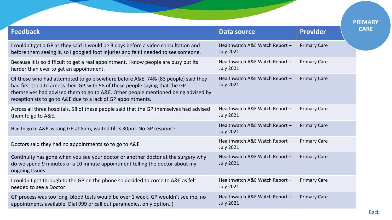| Data source                                        | <b>Provider</b>     |  |
|----------------------------------------------------|---------------------|--|
| Healthwatch A&E Watch Report -<br><b>July 2021</b> | <b>Primary Care</b> |  |
| Healthwatch A&E Watch Report -<br><b>July 2021</b> | <b>Primary Care</b> |  |
| Healthwatch A&E Watch Report -<br><b>July 2021</b> | <b>Primary Care</b> |  |
| Healthwatch A&E Watch Report -<br><b>July 2021</b> | <b>Primary Care</b> |  |
| Healthwatch A&E Watch Report -<br><b>July 2021</b> | <b>Primary Care</b> |  |
| Healthwatch A&E Watch Report -<br><b>July 2021</b> | <b>Primary Care</b> |  |
| Healthwatch A&E Watch Report -<br><b>July 2021</b> | <b>Primary Care</b> |  |
| Healthwatch A&E Watch Report -<br><b>July 2021</b> | <b>Primary Care</b> |  |
| Healthwatch A&E Watch Report -<br><b>July 2021</b> | <b>Primary Care</b> |  |
|                                                    |                     |  |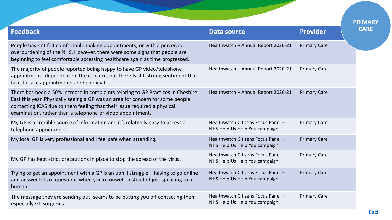|                                                                                                                                                                                                                                                                                                              |                                                                     |                     | <b>PRIMARY</b> |
|--------------------------------------------------------------------------------------------------------------------------------------------------------------------------------------------------------------------------------------------------------------------------------------------------------------|---------------------------------------------------------------------|---------------------|----------------|
| <b>Feedback</b>                                                                                                                                                                                                                                                                                              | <b>Data source</b>                                                  | <b>Provider</b>     | <b>CARE</b>    |
| People haven't felt comfortable making appointments, or with a perceived<br>overburdening of the NHS. However, there were some signs that people are<br>beginning to feel comfortable accessing healthcare again as time progressed.                                                                         | Healthwatch - Annual Report 2020-21                                 | <b>Primary Care</b> |                |
| The majority of people reported being happy to have GP video/telephone<br>appointments dependent on the concern, but there Is still strong sentiment that<br>face-to-face appointments are beneficial.                                                                                                       | Healthwatch - Annual Report 2020-21                                 | <b>Primary Care</b> |                |
| There has been a 50% increase in complaints relating to GP Practices in Cheshire<br>East this year. Physically seeing a GP was an area for concern for some people<br>contacting ICAS due to them feeling that their Issue required a physical<br>examination, rather than a telephone or video appointment. | Healthwatch - Annual Report 2020-21                                 | <b>Primary Care</b> |                |
| My GP is a credible source of information and it's relatively easy to access a<br>telephone appointment.                                                                                                                                                                                                     | Healthwatch Citizens Focus Panel -<br>NHS Help Us Help You campaign | <b>Primary Care</b> |                |
| My local GP is very professional and I feel safe when attending.                                                                                                                                                                                                                                             | Healthwatch Citizens Focus Panel -<br>NHS Help Us Help You campaign | <b>Primary Care</b> |                |
| My GP has kept strict precautions in place to stop the spread of the virus.                                                                                                                                                                                                                                  | Healthwatch Citizens Focus Panel -<br>NHS Help Us Help You campaign | <b>Primary Care</b> |                |
| Trying to get an appointment with a GP is an uphill struggle - having to go online<br>and answer lots of questions when you're unwell, Instead of just speaking to a<br>human.                                                                                                                               | Healthwatch Citizens Focus Panel -<br>NHS Help Us Help You campaign | <b>Primary Care</b> |                |
| The message they are sending out, seems to be putting you off contacting them $-$<br>especially GP surgeries.                                                                                                                                                                                                | Healthwatch Citizens Focus Panel -<br>NHS Help Us Help You campaign | <b>Primary Care</b> |                |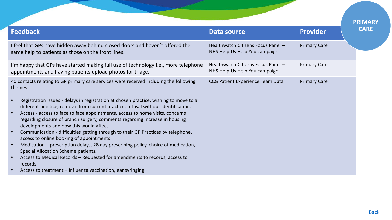|                                                                                                                                                                                                                                                                                                                                                                                                                                                                                                                                                                                                                                                                                                                                                                                                                                                                                                                                                                                     |                                                                     |                     | <b>PRIMARY</b> |
|-------------------------------------------------------------------------------------------------------------------------------------------------------------------------------------------------------------------------------------------------------------------------------------------------------------------------------------------------------------------------------------------------------------------------------------------------------------------------------------------------------------------------------------------------------------------------------------------------------------------------------------------------------------------------------------------------------------------------------------------------------------------------------------------------------------------------------------------------------------------------------------------------------------------------------------------------------------------------------------|---------------------------------------------------------------------|---------------------|----------------|
| <b>Feedback</b>                                                                                                                                                                                                                                                                                                                                                                                                                                                                                                                                                                                                                                                                                                                                                                                                                                                                                                                                                                     | <b>Data source</b>                                                  | <b>Provider</b>     | <b>CARE</b>    |
| I feel that GPs have hidden away behind closed doors and haven't offered the<br>same help to patients as those on the front lines.                                                                                                                                                                                                                                                                                                                                                                                                                                                                                                                                                                                                                                                                                                                                                                                                                                                  | Healthwatch Citizens Focus Panel -<br>NHS Help Us Help You campaign | <b>Primary Care</b> |                |
| I'm happy that GPs have started making full use of technology I.e., more telephone<br>appointments and having patients upload photos for triage.                                                                                                                                                                                                                                                                                                                                                                                                                                                                                                                                                                                                                                                                                                                                                                                                                                    | Healthwatch Citizens Focus Panel -<br>NHS Help Us Help You campaign | <b>Primary Care</b> |                |
| 40 contacts relating to GP primary care services were received including the following<br>themes:<br>Registration issues - delays in registration at chosen practice, wishing to move to a<br>$\bullet$<br>different practice, removal from current practice, refusal without identification.<br>Access - access to face to face appointments, access to home visits, concerns<br>$\bullet$<br>regarding closure of branch surgery, comments regarding increase in housing<br>developments and how this would affect.<br>Communication - difficulties getting through to their GP Practices by telephone,<br>$\bullet$<br>access to online booking of appointments.<br>Medication – prescription delays, 28 day prescribing policy, choice of medication,<br>$\bullet$<br>Special Allocation Scheme patients.<br>Access to Medical Records - Requested for amendments to records, access to<br>$\bullet$<br>records.<br>Access to treatment – Influenza vaccination, ear syringing. | CCG Patient Experience Team Data                                    | <b>Primary Care</b> |                |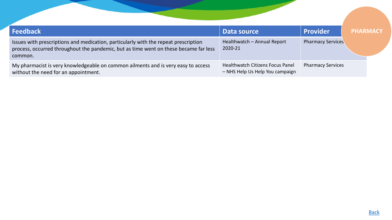<span id="page-13-0"></span>

| <b>Feedback</b>                                                                                                                                                                        | Data source                                                         | <b>Provider</b>          | <b>PHARMACY</b> |
|----------------------------------------------------------------------------------------------------------------------------------------------------------------------------------------|---------------------------------------------------------------------|--------------------------|-----------------|
| Issues with prescriptions and medication, particularly with the repeat prescription<br>process, occurred throughout the pandemic, but as time went on these became far less<br>common. | Healthwatch - Annual Report<br>2020-21                              | <b>Pharmacy Services</b> |                 |
| My pharmacist is very knowledgeable on common ailments and is very easy to access<br>without the need for an appointment.                                                              | Healthwatch Citizens Focus Panel<br>- NHS Help Us Help You campaign | <b>Pharmacy Services</b> |                 |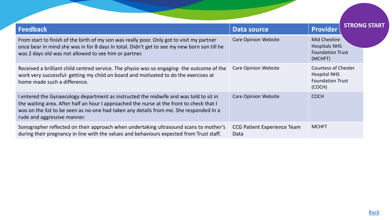<span id="page-14-0"></span>

| <b>Feedback</b>                                                                                                                                                                                                                                                                                            | Data source                                | Provider                                                                               | <b>STRONG START</b> |
|------------------------------------------------------------------------------------------------------------------------------------------------------------------------------------------------------------------------------------------------------------------------------------------------------------|--------------------------------------------|----------------------------------------------------------------------------------------|---------------------|
| From start to finish of the birth of my son was really poor. Only got to visit my partner<br>once bear in mind she was in for 8 days In total. Didn't get to see my new born son till he<br>was 2 days old was not allowed to see him or partner.                                                          | <b>Care Opinion Website</b>                | <b>Mid Cheshire</b><br><b>Hospitals NHS</b><br><b>Foundation Trust</b><br>(MCHFT)      |                     |
| Received a brilliant child centred service. The physio was so engaging- the outcome of the<br>work very successful- getting my child on board and motivated to do the exercises at<br>home made such a difference.                                                                                         | <b>Care Opinion Website</b>                | <b>Countess of Chester</b><br><b>Hospital NHS</b><br><b>Foundation Trust</b><br>(COCH) |                     |
| I entered the Gynaecology department as instructed the midwife and was told to sit in<br>the waiting area. After half an hour I approached the nurse at the front to check that I<br>was on the list to be seen as no-one had taken any details from me. She responded In a<br>rude and aggressive manner. | <b>Care Opinion Website</b>                | <b>COCH</b>                                                                            |                     |
| Sonographer reflected on their approach when undertaking ultrasound scans to mother's<br>during their pregnancy in line with the values and behaviours expected from Trust staff.                                                                                                                          | <b>CCG Patient Experience Team</b><br>Data | <b>MCHFT</b>                                                                           |                     |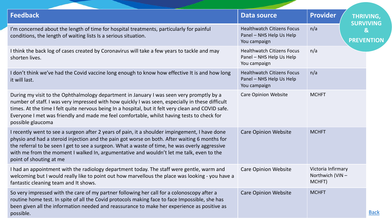<span id="page-15-0"></span>

| <b>Feedback</b>                                                                                                                                                                                                                                                                                                                                                                                                          | Data source                                                                   | <b>Provider</b>                                 | <b>THRIVING,</b><br><b>SURVIVING</b> |
|--------------------------------------------------------------------------------------------------------------------------------------------------------------------------------------------------------------------------------------------------------------------------------------------------------------------------------------------------------------------------------------------------------------------------|-------------------------------------------------------------------------------|-------------------------------------------------|--------------------------------------|
| I'm concerned about the length of time for hospital treatments, particularly for painful<br>conditions, the length of waiting lists Is a serious situation.                                                                                                                                                                                                                                                              | <b>Healthwatch Citizens Focus</b><br>Panel - NHS Help Us Help<br>You campaign | n/a                                             | $\mathbf{g}$<br><b>PREVENTION</b>    |
| I think the back log of cases created by Coronavirus will take a few years to tackle and may<br>shorten lives.                                                                                                                                                                                                                                                                                                           | <b>Healthwatch Citizens Focus</b><br>Panel - NHS Help Us Help<br>You campaign | n/a                                             |                                      |
| I don't think we've had the Covid vaccine long enough to know how effective It is and how long<br>it will last.                                                                                                                                                                                                                                                                                                          | <b>Healthwatch Citizens Focus</b><br>Panel - NHS Help Us Help<br>You campaign | n/a                                             |                                      |
| During my visit to the Ophthalmology department in January I was seen very promptly by a<br>number of staff. I was very impressed with how quickly I was seen, especially in these difficult<br>times. At the time I felt quite nervous being In a hospital, but it felt very clean and COVID safe.<br>Everyone I met was friendly and made me feel comfortable, whilst having tests to check for<br>possible glaucoma   | <b>Care Opinion Website</b>                                                   | <b>MCHFT</b>                                    |                                      |
| I recently went to see a surgeon after 2 years of pain, it a shoulder impingement, I have done<br>physio and had a steroid injection and the pain got worse on both. After waiting 6 months for<br>the referral to be seen I get to see a surgeon. What a waste of time, he was overly aggressive<br>with me from the moment I walked In, argumentative and wouldn't let me talk, even to the<br>point of shouting at me | <b>Care Opinion Website</b>                                                   | <b>MCHFT</b>                                    |                                      |
| I had an appointment with the radiology department today. The staff were gentle, warm and<br>welcoming but I would really like to point out how marvellous the place was looking - you have a<br>fantastic cleaning team and It shows.                                                                                                                                                                                   | <b>Care Opinion Website</b>                                                   | Victoria Infirmary<br>Northwich (VIN-<br>MCHFT) |                                      |
| So very impressed with the care of my partner following her call for a colonoscopy after a<br>routine home test. In spite of all the Covid protocols making face to face Impossible, she has<br>been given all the information needed and reassurance to make her experience as positive as<br>possible.                                                                                                                 | <b>Care Opinion Website</b>                                                   | <b>MCHFT</b>                                    | <b>Back</b>                          |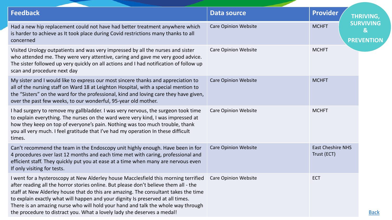| <b>Feedback</b>                                                                                                                                                                                                                                                                                                                                                                                                                                                                                                      | <b>Data source</b>          | <b>Provider</b>                         | <b>THRIVING,</b>                           |
|----------------------------------------------------------------------------------------------------------------------------------------------------------------------------------------------------------------------------------------------------------------------------------------------------------------------------------------------------------------------------------------------------------------------------------------------------------------------------------------------------------------------|-----------------------------|-----------------------------------------|--------------------------------------------|
| Had a new hip replacement could not have had better treatment anywhere which<br>is harder to achieve as It took place during Covid restrictions many thanks to all<br>concerned                                                                                                                                                                                                                                                                                                                                      | <b>Care Opinion Website</b> | <b>MCHFT</b>                            | <b>SURVIVING</b><br>&<br><b>PREVENTION</b> |
| Visited Urology outpatients and was very impressed by all the nurses and sister<br>who attended me. They were very attentive, caring and gave me very good advice.<br>The sister followed up very quickly on all actions and I had notification of follow up<br>scan and procedure next day                                                                                                                                                                                                                          | <b>Care Opinion Website</b> | <b>MCHFT</b>                            |                                            |
| My sister and I would like to express our most sincere thanks and appreciation to<br>all of the nursing staff on Ward 18 at Leighton Hospital, with a special mention to<br>the "Sisters" on the ward for the professional, kind and loving care they have given,<br>over the past few weeks, to our wonderful, 95-year old mother.                                                                                                                                                                                  | <b>Care Opinion Website</b> | <b>MCHFT</b>                            |                                            |
| I had surgery to remove my gallbladder. I was very nervous, the surgeon took time<br>to explain everything. The nurses on the ward were very kind, I was impressed at<br>how they keep on top of everyone's pain. Nothing was too much trouble, thank<br>you all very much. I feel gratitude that I've had my operation In these difficult<br>times.                                                                                                                                                                 | <b>Care Opinion Website</b> | <b>MCHFT</b>                            |                                            |
| Can't recommend the team in the Endoscopy unit highly enough. Have been in for<br>4 procedures over last 12 months and each time met with caring, professional and<br>efficient staff. They quickly put you at ease at a time when many are nervous even<br>If only visiting for tests.                                                                                                                                                                                                                              | <b>Care Opinion Website</b> | <b>East Cheshire NHS</b><br>Trust (ECT) |                                            |
| I went for a hysteroscopy at New Alderley house Macclesfield this morning terrified<br>after reading all the horror stories online. But please don't believe them all - the<br>staff at New Alderley house that do this are amazing. The consultant takes the time<br>to explain exactly what will happen and your dignity Is preserved at all times.<br>There is an amazing nurse who will hold your hand and talk the whole way through<br>the procedure to distract you. What a lovely lady she deserves a medal! | <b>Care Opinion Website</b> | <b>ECT</b>                              | <b>Back</b>                                |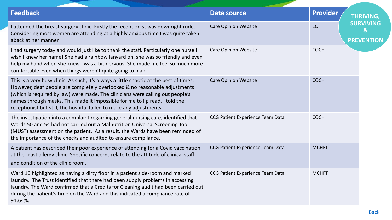| <b>Feedback</b>                                                                                                                                                                                                                                                                                                                                                                                                | <b>Data source</b>               | <b>Provider</b>                                                     |  |
|----------------------------------------------------------------------------------------------------------------------------------------------------------------------------------------------------------------------------------------------------------------------------------------------------------------------------------------------------------------------------------------------------------------|----------------------------------|---------------------------------------------------------------------|--|
|                                                                                                                                                                                                                                                                                                                                                                                                                |                                  | <b>THRIVING,</b>                                                    |  |
| I attended the breast surgery clinic. Firstly the receptionist was downright rude.<br>Considering most women are attending at a highly anxious time I was quite taken<br>aback at her manner.                                                                                                                                                                                                                  | <b>Care Opinion Website</b>      | <b>SURVIVING</b><br><b>ECT</b><br>$\mathbf{g}$<br><b>PREVENTION</b> |  |
| I had surgery today and would just like to thank the staff. Particularly one nurse I<br>wish I knew her name! She had a rainbow lanyard on, she was so friendly and even<br>help my hand when she knew I was a bit nervous. She made me feel so much more<br>comfortable even when things weren't quite going to plan.                                                                                         | <b>Care Opinion Website</b>      | <b>COCH</b>                                                         |  |
| This is a very busy clinic. As such, it's always a little chaotic at the best of times.<br>However, deaf people are completely overlooked & no reasonable adjustments<br>(which is required by law) were made. The clinicians were calling out people's<br>names through masks. This made It impossible for me to lip read. I told the<br>receptionist but still, the hospital failed to make any adjustments. | <b>Care Opinion Website</b>      | <b>COCH</b>                                                         |  |
| The investigation into a complaint regarding general nursing care, identified that<br>Wards 50 and 54 had not carried out a Malnutrition Universal Screening Tool<br>(MUST) assessment on the patient. As a result, the Wards have been reminded of<br>the importance of the checks and audited to ensure compliance.                                                                                          | CCG Patient Experience Team Data | <b>COCH</b>                                                         |  |
| A patient has described their poor experience of attending for a Covid vaccination<br>at the Trust allergy clinic. Specific concerns relate to the attitude of clinical staff<br>and condition of the clinic room.                                                                                                                                                                                             | CCG Patient Experience Team Data | <b>MCHFT</b>                                                        |  |
| Ward 10 highlighted as having a dirty floor in a patient side-room and marked<br>laundry. The Trust identified that there had been supply problems in accessing<br>laundry. The Ward confirmed that a Credits for Cleaning audit had been carried out<br>during the patient's time on the Ward and this indicated a compliance rate of<br>91.64%.                                                              | CCG Patient Experience Team Data | <b>MCHFT</b>                                                        |  |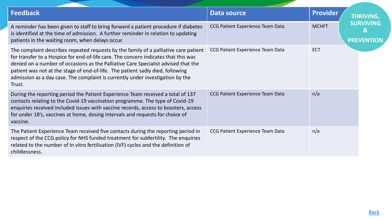| <b>Feedback</b>                                                                                                                                                                                                                                                                                                                                                                                                                                 | <b>Data source</b>               | <b>Provider</b> | <b>THRIVING,</b>                                  |
|-------------------------------------------------------------------------------------------------------------------------------------------------------------------------------------------------------------------------------------------------------------------------------------------------------------------------------------------------------------------------------------------------------------------------------------------------|----------------------------------|-----------------|---------------------------------------------------|
| A reminder has been given to staff to bring forward a patient procedure if diabetes<br>is identified at the time of admission. A further reminder in relation to updating<br>patients in the waiting room, when delays occur.                                                                                                                                                                                                                   | CCG Patient Experience Team Data | <b>MCHFT</b>    | <b>SURVIVING</b><br>$\bf{g}$<br><b>PREVENTION</b> |
| The complaint describes repeated requests by the family of a palliative care patient<br>for transfer to a Hospice for end-of-life care. The concern indicates that this was<br>denied on a number of occasions as the Palliative Care Specialist advised that the<br>patient was not at the stage of end-of-life. The patient sadly died, following<br>admission as a day case. The complaint is currently under investigation by the<br>Trust. | CCG Patient Experience Team Data | <b>ECT</b>      |                                                   |
| During the reporting period the Patient Experience Team received a total of 137<br>contacts relating to the Covid-19 vaccination programme. The type of Covid-19<br>enquiries received included issues with vaccine records, access to boosters, access<br>for under 18's, vaccines at home, dosing intervals and requests for choice of<br>vaccine.                                                                                            | CCG Patient Experience Team Data | n/a             |                                                   |
| The Patient Experience Team received five contacts during the reporting period in<br>respect of the CCG policy for NHS funded treatment for subfertility. The enquiries<br>related to the number of In vitro fertilisation (IVF) cycles and the definition of<br>childlessness.                                                                                                                                                                 | CCG Patient Experience Team Data | n/a             |                                                   |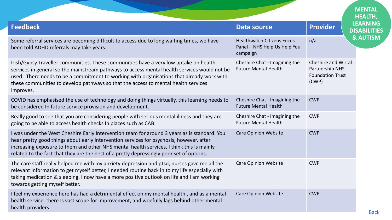<span id="page-19-0"></span>

|                                                                                                                                                                                                                                                                                                                                                                                       |                                                                               | <b>MENTAL</b><br><b>HEALTH,</b>                                                   |
|---------------------------------------------------------------------------------------------------------------------------------------------------------------------------------------------------------------------------------------------------------------------------------------------------------------------------------------------------------------------------------------|-------------------------------------------------------------------------------|-----------------------------------------------------------------------------------|
| <b>Feedback</b>                                                                                                                                                                                                                                                                                                                                                                       | <b>Data source</b>                                                            | <b>LEARNING</b><br><b>Provider</b><br><b>DISABILITIES</b>                         |
| Some referral services are becoming difficult to access due to long waiting times, we have<br>been told ADHD referrals may take years.                                                                                                                                                                                                                                                | <b>Healthwatch Citizens Focus</b><br>Panel - NHS Help Us Help You<br>campaign | <b>&amp; AUTISM</b><br>n/a                                                        |
| Irish/Gypsy Traveller communities. These communities have a very low uptake on health<br>services in general so the mainstream pathways to access mental health services would not be<br>used. There needs to be a commitment to working with organisations that already work with<br>these communities to develop pathways so that the access to mental health services<br>Improves. | Cheshire Chat - Imagining the<br><b>Future Mental Health</b>                  | <b>Cheshire and Wirral</b><br>Partnership NHS<br><b>Foundation Trust</b><br>(CWP) |
| COVID has emphasised the use of technology and doing things virtually, this learning needs to<br>be considered In future service provision and development.                                                                                                                                                                                                                           | Cheshire Chat - Imagining the<br><b>Future Mental Health</b>                  | <b>CWP</b>                                                                        |
| Really good to see that you are considering people with serious mental illness and they are<br>going to be able to access health checks In places such as CAB.                                                                                                                                                                                                                        | Cheshire Chat - Imagining the<br><b>Future Mental Health</b>                  | <b>CWP</b>                                                                        |
| I was under the West Cheshire Early Intervention team for around 3 years as is standard. You<br>hear pretty good things about early intervention services for psychosis, however, after<br>increasing exposure to them and other NHS mental health services, I think this Is mainly<br>related to the fact that they are the best of a pretty depressingly poor set of options.       | <b>Care Opinion Website</b>                                                   | <b>CWP</b>                                                                        |
| The care staff really helped me with my anxiety depression and ptsd, nurses gave me all the<br>relevant information to get myself better, I needed routine back in to my life especially with<br>taking medication & sleeping. I now have a more positive outlook on life and I am working<br>towards getting myself better.                                                          | <b>Care Opinion Website</b>                                                   | <b>CWP</b>                                                                        |
| I feel my experience here has had a detrimental effect on my mental health, and as a mental<br>health service. there Is vast scope for improvement, and woefully lags behind other mental<br>health providers.                                                                                                                                                                        | <b>Care Opinion Website</b>                                                   | <b>CWP</b>                                                                        |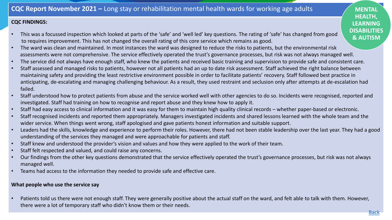## **CQC FINDINGS:**

- This was a focussed inspection which looked at parts of the 'safe' and 'well led' key questions. The rating of 'safe' has changed from good to requires improvement. This has not changed the overall rating of this core service which remains as good.
- The ward was clean and maintained. In most instances the ward was designed to reduce the risks to patients, but the environmental risk assessments were not comprehensive. The service effectively operated the trust's governance processes, but risk was not always managed well.
- The service did not always have enough staff, who knew the patients and received basic training and supervision to provide safe and consistent care.
- Staff assessed and managed risks to patients, however not all patients had an up to date risk assessment. Staff achieved the right balance between maintaining safety and providing the least restrictive environment possible in order to facilitate patients' recovery. Staff followed best practice in anticipating, de-escalating and managing challenging behaviour. As a result, they used restraint and seclusion only after attempts at de-escalation had failed.
- Staff understood how to protect patients from abuse and the service worked well with other agencies to do so. Incidents were recognised, reported and investigated. Staff had training on how to recognise and report abuse and they knew how to apply it.
- Staff had easy access to clinical information and it was easy for them to maintain high quality clinical records whether paper-based or electronic.
- Staff recognised incidents and reported them appropriately. Managers investigated incidents and shared lessons learned with the whole team and the wider service. When things went wrong, staff apologised and gave patients honest information and suitable support.
- Leaders had the skills, knowledge and experience to perform their roles. However, there had not been stable leadership over the last year. They had a good understanding of the services they managed and were approachable for patients and staff.
- Staff knew and understood the provider's vision and values and how they were applied to the work of their team.
- Staff felt respected and valued, and could raise any concerns.
- Our findings from the other key questions demonstrated that the service effectively operated the trust's governance processes, but risk was not always managed well.
- Teams had access to the information they needed to provide safe and effective care.

## **What people who use the service say**

• Patients told us there were not enough staff. They were generally positive about the actual staff on the ward, and felt able to talk with them. However, there were a lot of temporary staff who didn't know them or their needs.

**MENTAL HEALTH, LEARNING DISABILITIES & AUTISM**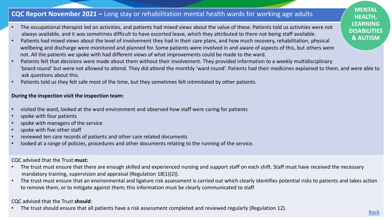# **CQC Report November 2021 –** Long stay or rehabilitation mental health wards for working age adults

- The occupational therapist led on activities, and patients had mixed views about the value of these. Patients told us activities were not always available, and it was sometimes difficult to have escorted leave, which they attributed to there not being staff available.
- Patients had mixed views about the level of involvement they had in their care plans, and how much recovery, rehabilitation, physical wellbeing and discharge were monitored and planned for. Some patients were involved in and aware of aspects of this, but others were not. All the patients we spoke with had different views of what improvements could be made to the ward.
- Patients felt that decisions were made about them without their involvement. They provided information to a weekly multidisciplinary 'board round' but were not allowed to attend. They did attend the monthly 'ward round'. Patients had their medicines explained to them, and were able to ask questions about this.
- Patients told us they felt safe most of the time, but they sometimes felt intimidated by other patients.

#### **During the inspection visit the inspection team:**

- visited the ward, looked at the ward environment and observed how staff were caring for patients
- spoke with four patients
- spoke with managers of the service
- spoke with five other staff
- reviewed ten care records of patients and other care related documents
- looked at a range of policies, procedures and other documents relating to the running of the service.

## CQC advised that the Trust **must:**

- The trust must ensure that there are enough skilled and experienced nursing and support staff on each shift. Staff must have received the necessary mandatory training, supervision and appraisal (Regulation 18(1)(2)).
- The trust must ensure that an environmental and ligature risk assessment is carried out which clearly identifies potential risks to patients and takes action to remove them, or to mitigate against them; this information must be clearly communicated to staff

## CQC advised that the Trust **should**:

• The trust should ensure that all patients have a risk assessment completed and reviewed regularly (Regulation 12).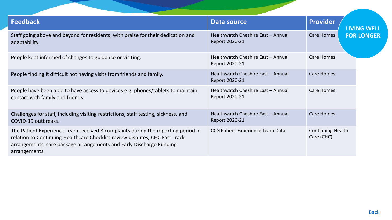<span id="page-22-0"></span>

| <b>Feedback</b>                                                                                                                                                                                                                                         | Data source                                          | <b>Provider</b><br><b>LIVING WELL</b>  |
|---------------------------------------------------------------------------------------------------------------------------------------------------------------------------------------------------------------------------------------------------------|------------------------------------------------------|----------------------------------------|
| Staff going above and beyond for residents, with praise for their dedication and<br>adaptability.                                                                                                                                                       | Healthwatch Cheshire East - Annual<br>Report 2020-21 | <b>Care Homes</b><br><b>FOR LONGER</b> |
| People kept informed of changes to guidance or visiting.                                                                                                                                                                                                | Healthwatch Cheshire East - Annual<br>Report 2020-21 | <b>Care Homes</b>                      |
| People finding it difficult not having visits from friends and family.                                                                                                                                                                                  | Healthwatch Cheshire East - Annual<br>Report 2020-21 | <b>Care Homes</b>                      |
| People have been able to have access to devices e.g. phones/tablets to maintain<br>contact with family and friends.                                                                                                                                     | Healthwatch Cheshire East - Annual<br>Report 2020-21 | <b>Care Homes</b>                      |
| Challenges for staff, including visiting restrictions, staff testing, sickness, and<br>COVID-19 outbreaks.                                                                                                                                              | Healthwatch Cheshire East - Annual<br>Report 2020-21 | <b>Care Homes</b>                      |
| The Patient Experience Team received 8 complaints during the reporting period in<br>relation to Continuing Healthcare Checklist review disputes, CHC Fast Track<br>arrangements, care package arrangements and Early Discharge Funding<br>arrangements. | CCG Patient Experience Team Data                     | <b>Continuing Health</b><br>Care (CHC) |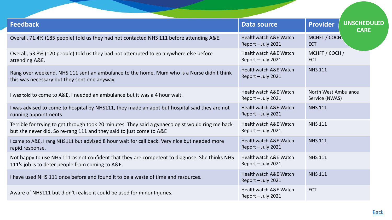| <b>Feedback</b>                                                                                                                                                         | <b>Data source</b>                                     | <b>Provider</b>                        | <b>UNSCHEDULED</b><br><b>CARE</b> |
|-------------------------------------------------------------------------------------------------------------------------------------------------------------------------|--------------------------------------------------------|----------------------------------------|-----------------------------------|
| Overall, 71.4% (185 people) told us they had not contacted NHS 111 before attending A&E.                                                                                | <b>Healthwatch A&amp;E Watch</b><br>Report - July 2021 | MCHFT / COCH<br><b>ECT</b>             |                                   |
| Overall, 53.8% (120 people) told us they had not attempted to go anywhere else before<br>attending A&E.                                                                 | <b>Healthwatch A&amp;E Watch</b><br>Report - July 2021 | MCHFT / COCH /<br><b>ECT</b>           |                                   |
| Rang over weekend. NHS 111 sent an ambulance to the home. Mum who is a Nurse didn't think<br>this was necessary but they sent one anyway.                               | <b>Healthwatch A&amp;E Watch</b><br>Report - July 2021 | <b>NHS 111</b>                         |                                   |
| I was told to come to A&E, I needed an ambulance but it was a 4 hour wait.                                                                                              | <b>Healthwatch A&amp;E Watch</b><br>Report - July 2021 | North West Ambulance<br>Service (NWAS) |                                   |
| I was advised to come to hospital by NHS111, they made an appt but hospital said they are not<br>running appointments                                                   | <b>Healthwatch A&amp;E Watch</b><br>Report - July 2021 | <b>NHS 111</b>                         |                                   |
| Terrible for trying to get through took 20 minutes. They said a gynaecologist would ring me back<br>but she never did. So re-rang 111 and they said to just come to A&E | <b>Healthwatch A&amp;E Watch</b><br>Report - July 2021 | <b>NHS 111</b>                         |                                   |
| I came to A&E, I rang NHS111 but advised 8 hour wait for call back. Very nice but needed more<br>rapid response.                                                        | <b>Healthwatch A&amp;E Watch</b><br>Report - July 2021 | <b>NHS 111</b>                         |                                   |
| Not happy to use NHS 111 as not confident that they are competent to diagnose. She thinks NHS<br>111's job Is to deter people from coming to A&E.                       | <b>Healthwatch A&amp;E Watch</b><br>Report - July 2021 | <b>NHS 111</b>                         |                                   |
| I have used NHS 111 once before and found it to be a waste of time and resources.                                                                                       | <b>Healthwatch A&amp;E Watch</b><br>Report - July 2021 | <b>NHS 111</b>                         |                                   |
| Aware of NHS111 but didn't realise it could be used for minor Injuries.                                                                                                 | <b>Healthwatch A&amp;E Watch</b><br>Report - July 2021 | <b>ECT</b>                             |                                   |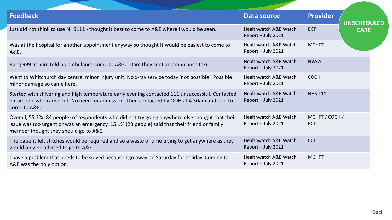| <b>Feedback</b>                                                                                                                                                                                                                           | Data source                                            | <b>Provider</b>              |                                   |
|-------------------------------------------------------------------------------------------------------------------------------------------------------------------------------------------------------------------------------------------|--------------------------------------------------------|------------------------------|-----------------------------------|
| Just did not think to use NHS111 - thought it best to come to A&E where I would be seen.                                                                                                                                                  | <b>Healthwatch A&amp;E Watch</b><br>Report - July 2021 | <b>ECT</b>                   | <b>UNSCHEDULED</b><br><b>CARE</b> |
| Was at the hospital for another appointment anyway so thought It would be easiest to come to<br>A&E.                                                                                                                                      | <b>Healthwatch A&amp;E Watch</b><br>Report - July 2021 | <b>MCHFT</b>                 |                                   |
| Rang 999 at 5am told no ambulance come to A&E. 10am they sent an ambulance taxi.                                                                                                                                                          | <b>Healthwatch A&amp;E Watch</b><br>Report - July 2021 | <b>NWAS</b>                  |                                   |
| Went to Whitchurch day centre, minor injury unit. No x-ray service today 'not possible'. Possible<br>minor damage so came here.                                                                                                           | <b>Healthwatch A&amp;E Watch</b><br>Report - July 2021 | <b>COCH</b>                  |                                   |
| Started with shivering and high temperature early evening contacted 111 unsuccessful. Contacted<br>paramedic who came out. No need for admission. Then contacted by OOH at 4.30am and told to<br>come to A&E.                             | <b>Healthwatch A&amp;E Watch</b><br>Report - July 2021 | <b>NHS 111</b>               |                                   |
| Overall, 55.3% (84 people) of respondents who did not try going anywhere else thought that their<br>issue was too urgent or was an emergency. 15.1% (23 people) said that their friend or family<br>member thought they should go to A&E. | <b>Healthwatch A&amp;E Watch</b><br>Report - July 2021 | MCHFT / COCH /<br><b>ECT</b> |                                   |
| The patient felt stitches would be required and so a waste of time trying to get anywhere as they<br>would only be advised to go to A&E.                                                                                                  | <b>Healthwatch A&amp;E Watch</b><br>Report - July 2021 | <b>ECT</b>                   |                                   |
| I have a problem that needs to be solved because I go away on Saturday for holiday. Coming to<br>A&E was the only option.                                                                                                                 | <b>Healthwatch A&amp;E Watch</b><br>Report - July 2021 | <b>MCHFT</b>                 |                                   |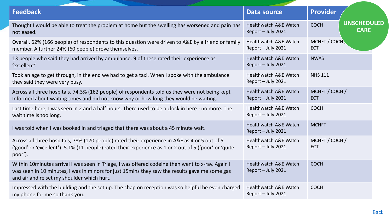| <b>Feedback</b>                                                                                                                                                                                                                                  | Data source                                            | <b>Provider</b>                                  |
|--------------------------------------------------------------------------------------------------------------------------------------------------------------------------------------------------------------------------------------------------|--------------------------------------------------------|--------------------------------------------------|
| Thought I would be able to treat the problem at home but the swelling has worsened and pain has<br>not eased.                                                                                                                                    | <b>Healthwatch A&amp;E Watch</b><br>Report - July 2021 | <b>UNSCHEDULED</b><br><b>COCH</b><br><b>CARE</b> |
| Overall, 62% (166 people) of respondents to this question were driven to A&E by a friend or family<br>member. A further 24% (60 people) drove themselves.                                                                                        | Healthwatch A&E Watch<br>Report - July 2021            | MCHFT / COCH<br><b>ECT</b>                       |
| 13 people who said they had arrived by ambulance. 9 of these rated their experience as<br>'excellent'.                                                                                                                                           | <b>Healthwatch A&amp;E Watch</b><br>Report - July 2021 | <b>NWAS</b>                                      |
| Took an age to get through, in the end we had to get a taxi. When I spoke with the ambulance<br>they said they were very busy.                                                                                                                   | <b>Healthwatch A&amp;E Watch</b><br>Report - July 2021 | <b>NHS 111</b>                                   |
| Across all three hospitals, 74.3% (162 people) of respondents told us they were not being kept<br>Informed about waiting times and did not know why or how long they would be waiting.                                                           | <b>Healthwatch A&amp;E Watch</b><br>Report - July 2021 | MCHFT / COCH /<br><b>ECT</b>                     |
| Last time here, I was seen in 2 and a half hours. There used to be a clock in here - no more. The<br>wait time Is too long.                                                                                                                      | <b>Healthwatch A&amp;E Watch</b><br>Report - July 2021 | <b>COCH</b>                                      |
| I was told when I was booked in and triaged that there was about a 45 minute wait.                                                                                                                                                               | <b>Healthwatch A&amp;E Watch</b><br>Report - July 2021 | <b>MCHFT</b>                                     |
| Across all three hospitals, 78% (170 people) rated their experience in A&E as 4 or 5 out of 5<br>('good' or 'excellent'). 5.1% (11 people) rated their experience as 1 or 2 out of 5 ('poor' or 'quite<br>poor').                                | <b>Healthwatch A&amp;E Watch</b><br>Report - July 2021 | MCHFT / COCH /<br><b>ECT</b>                     |
| Within 10minutes arrival I was seen in Triage, I was offered codeine then went to x-ray. Again I<br>was seen in 10 minutes, I was In minors for just 15 mins they saw the results gave me some gas<br>and air and re set my shoulder which hurt. | <b>Healthwatch A&amp;E Watch</b><br>Report - July 2021 | <b>COCH</b>                                      |
| Impressed with the building and the set up. The chap on reception was so helpful he even charged<br>my phone for me so thank you.                                                                                                                | Healthwatch A&E Watch<br>Report - July 2021            | <b>COCH</b>                                      |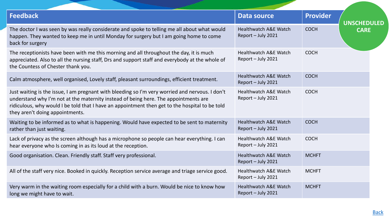| <b>Feedback</b>                                                                                                                                                                                                                                                                                                             | Data source                                            | <b>Provider</b> | <b>UNSCHEDULED</b> |
|-----------------------------------------------------------------------------------------------------------------------------------------------------------------------------------------------------------------------------------------------------------------------------------------------------------------------------|--------------------------------------------------------|-----------------|--------------------|
| The doctor I was seen by was really considerate and spoke to telling me all about what would<br>happen. They wanted to keep me in until Monday for surgery but I am going home to come<br>back for surgery                                                                                                                  | <b>Healthwatch A&amp;E Watch</b><br>Report - July 2021 | <b>COCH</b>     | <b>CARE</b>        |
| The receptionists have been with me this morning and all throughout the day, it is much<br>appreciated. Also to all the nursing staff, Drs and support staff and everybody at the whole of<br>the Countess of Chester thank you.                                                                                            | <b>Healthwatch A&amp;E Watch</b><br>Report - July 2021 | <b>COCH</b>     |                    |
| Calm atmosphere, well organised, Lovely staff, pleasant surroundings, efficient treatment.                                                                                                                                                                                                                                  | <b>Healthwatch A&amp;E Watch</b><br>Report - July 2021 | <b>COCH</b>     |                    |
| Just waiting is the issue, I am pregnant with bleeding so I'm very worried and nervous. I don't<br>understand why I'm not at the maternity instead of being here. The appointments are<br>ridiculous, why would I be told that I have an appointment then get to the hospital to be told<br>they aren't doing appointments. | <b>Healthwatch A&amp;E Watch</b><br>Report - July 2021 | <b>COCH</b>     |                    |
| Waiting to be informed as to what is happening. Would have expected to be sent to maternity<br>rather than just waiting.                                                                                                                                                                                                    | Healthwatch A&E Watch<br>Report - July 2021            | <b>COCH</b>     |                    |
| Lack of privacy as the screen although has a microphone so people can hear everything. I can<br>hear everyone who Is coming in as its loud at the reception.                                                                                                                                                                | <b>Healthwatch A&amp;E Watch</b><br>Report - July 2021 | <b>COCH</b>     |                    |
| Good organisation. Clean. Friendly staff. Staff very professional.                                                                                                                                                                                                                                                          | <b>Healthwatch A&amp;E Watch</b><br>Report - July 2021 | <b>MCHFT</b>    |                    |
| All of the staff very nice. Booked in quickly. Reception service average and triage service good.                                                                                                                                                                                                                           | <b>Healthwatch A&amp;E Watch</b><br>Report - July 2021 | <b>MCHFT</b>    |                    |
| Very warm in the waiting room especially for a child with a burn. Would be nice to know how<br>long we might have to wait.                                                                                                                                                                                                  | <b>Healthwatch A&amp;E Watch</b><br>Report - July 2021 | <b>MCHFT</b>    |                    |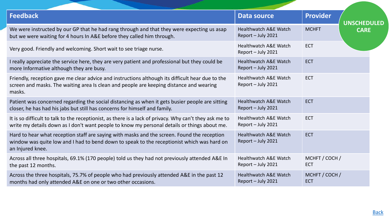| <b>Feedback</b>                                                                                                                                                                                               | Data source                                            | <b>Provider</b>              |  |
|---------------------------------------------------------------------------------------------------------------------------------------------------------------------------------------------------------------|--------------------------------------------------------|------------------------------|--|
|                                                                                                                                                                                                               |                                                        | <b>UNSCHEDULED</b>           |  |
| We were instructed by our GP that he had rang through and that they were expecting us asap<br>but we were waiting for 4 hours In A&E before they called him through.                                          | <b>Healthwatch A&amp;E Watch</b><br>Report - July 2021 | <b>MCHFT</b><br><b>CARE</b>  |  |
| Very good. Friendly and welcoming. Short wait to see triage nurse.                                                                                                                                            | <b>Healthwatch A&amp;E Watch</b><br>Report - July 2021 | ECT                          |  |
| I really appreciate the service here, they are very patient and professional but they could be<br>more Informative although they are busy.                                                                    | <b>Healthwatch A&amp;E Watch</b><br>Report - July 2021 | <b>ECT</b>                   |  |
| Friendly, reception gave me clear advice and instructions although its difficult hear due to the<br>screen and masks. The waiting area Is clean and people are keeping distance and wearing<br>masks.         | <b>Healthwatch A&amp;E Watch</b><br>Report - July 2021 | <b>ECT</b>                   |  |
| Patient was concerned regarding the social distancing as when it gets busier people are sitting<br>closer, he has had his jabs but still has concerns for himself and family.                                 | <b>Healthwatch A&amp;E Watch</b><br>Report - July 2021 | <b>ECT</b>                   |  |
| It is so difficult to talk to the receptionist, as there is a lack of privacy. Why can't they ask me to<br>write my details down as I don't want people to know my personal details or things about me.       | <b>Healthwatch A&amp;E Watch</b><br>Report - July 2021 | <b>ECT</b>                   |  |
| Hard to hear what reception staff are saying with masks and the screen. Found the reception<br>window was quite low and I had to bend down to speak to the receptionist which was hard on<br>an Injured knee. | <b>Healthwatch A&amp;E Watch</b><br>Report - July 2021 | <b>ECT</b>                   |  |
| Across all three hospitals, 69.1% (170 people) told us they had not previously attended A&E In<br>the past 12 months.                                                                                         | <b>Healthwatch A&amp;E Watch</b><br>Report - July 2021 | MCHFT / COCH /<br><b>ECT</b> |  |
| Across the three hospitals, 75.7% of people who had previously attended A&E in the past 12<br>months had only attended A&E on one or two other occasions.                                                     | <b>Healthwatch A&amp;E Watch</b><br>Report - July 2021 | MCHFT / COCH /<br><b>ECT</b> |  |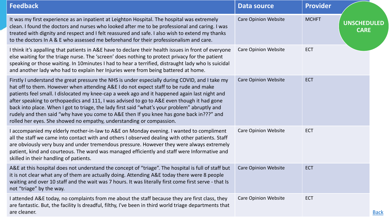| <b>Feedback</b>                                                                                                                                                                                                                                                                                                                                                                                                                                                                                                                                                                                                                                              | <b>Data source</b>          | <b>Provider</b>                                   |             |
|--------------------------------------------------------------------------------------------------------------------------------------------------------------------------------------------------------------------------------------------------------------------------------------------------------------------------------------------------------------------------------------------------------------------------------------------------------------------------------------------------------------------------------------------------------------------------------------------------------------------------------------------------------------|-----------------------------|---------------------------------------------------|-------------|
| It was my first experience as an inpatient at Leighton Hospital. The hospital was extremely<br>clean. I found the doctors and nurses who looked after me to be professional and caring. I was<br>treated with dignity and respect and I felt reassured and safe. I also wish to extend my thanks<br>to the doctors In A & E who assessed me beforehand for their professionalism and care.                                                                                                                                                                                                                                                                   | <b>Care Opinion Website</b> | <b>MCHFT</b><br><b>UNSCHEDULED</b><br><b>CARE</b> |             |
| I think it's appalling that patients in A&E have to declare their health issues in front of everyone<br>else waiting for the triage nurse. The 'screen' does nothing to protect privacy for the patient<br>speaking or those waiting. In 10minutes I had to hear a terrified, distraught lady who Is suicidal<br>and another lady who had to explain her Injuries were from being battered at home.                                                                                                                                                                                                                                                          | <b>Care Opinion Website</b> | <b>ECT</b>                                        |             |
| Firstly I understand the great pressure the NHS is under especially during COVID, and I take my<br>hat off to them. However when attending A&E I do not expect staff to be rude and make<br>patients feel small. I dislocated my knee-cap a week ago and it happened again last night and<br>after speaking to orthopaedics and 111, I was advised to go to A&E even though it had gone<br>back into place. When I got to triage, the lady first said "what's your problem" abruptly and<br>rudely and then said "why have you come to A&E then If you knee has gone back in???" and<br>rolled her eyes. She showed no empathy, understanding or compassion. | <b>Care Opinion Website</b> | <b>ECT</b>                                        |             |
| I accompanied my elderly mother-in-law to A&E on Monday evening. I wanted to compliment<br>all the staff we came into contact with and others I observed dealing with other patients. Staff<br>are obviously very busy and under tremendous pressure. However they were always extremely<br>patient, kind and courteous. The ward was managed efficiently and staff were Informative and<br>skilled in their handling of patients.                                                                                                                                                                                                                           | <b>Care Opinion Website</b> | <b>ECT</b>                                        |             |
| A&E at this hospital does not understand the concept of "triage". The hospital is full of staff but<br>it is not clear what any of them are actually doing. Attending A&E today there were 8 people<br>waiting and over 10 staff and the wait was 7 hours. It was literally first come first serve - that Is<br>not "triage" by the way.                                                                                                                                                                                                                                                                                                                     | <b>Care Opinion Website</b> | <b>ECT</b>                                        |             |
| I attended A&E today, no complaints from me about the staff because they are first class, they<br>are fantastic. But, the facility Is dreadful, filthy, I've been in third world triage departments that<br>are cleaner.                                                                                                                                                                                                                                                                                                                                                                                                                                     | <b>Care Opinion Website</b> | <b>ECT</b>                                        | <b>Back</b> |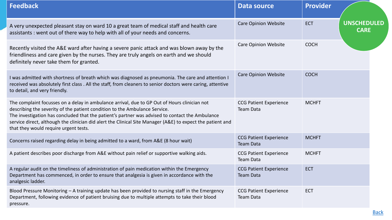| <b>Feedback</b>                                                                                                                                                                                                                                                                                                                                                                                                                      | <b>Data source</b>                                | <b>Provider</b> |                                   |
|--------------------------------------------------------------------------------------------------------------------------------------------------------------------------------------------------------------------------------------------------------------------------------------------------------------------------------------------------------------------------------------------------------------------------------------|---------------------------------------------------|-----------------|-----------------------------------|
| A very unexpected pleasant stay on ward 10 a great team of medical staff and health care<br>assistants: went out of there way to help with all of your needs and concerns.                                                                                                                                                                                                                                                           | <b>Care Opinion Website</b>                       | <b>ECT</b>      | <b>UNSCHEDULED</b><br><b>CARE</b> |
| Recently visited the A&E ward after having a severe panic attack and was blown away by the<br>friendliness and care given by the nurses. They are truly angels on earth and we should<br>definitely never take them for granted.                                                                                                                                                                                                     | <b>Care Opinion Website</b>                       | <b>COCH</b>     |                                   |
| I was admitted with shortness of breath which was diagnosed as pneumonia. The care and attention I<br>received was absolutely first class . All the staff, from cleaners to senior doctors were caring, attentive<br>to detail, and very friendly.                                                                                                                                                                                   | <b>Care Opinion Website</b>                       | <b>COCH</b>     |                                   |
| The complaint focusses on a delay in ambulance arrival, due to GP Out of Hours clinician not<br>describing the severity of the patient condition to the Ambulance Service.<br>The investigation has concluded that the patient's partner was advised to contact the Ambulance<br>service direct, although the clinician did alert the Clinical Site Manager (A&E) to expect the patient and<br>that they would require urgent tests. | <b>CCG Patient Experience</b><br><b>Team Data</b> | <b>MCHFT</b>    |                                   |
| Concerns raised regarding delay in being admitted to a ward, from A&E (8 hour wait)                                                                                                                                                                                                                                                                                                                                                  | <b>CCG Patient Experience</b><br><b>Team Data</b> | <b>MCHFT</b>    |                                   |
| A patient describes poor discharge from A&E without pain relief or supportive walking aids.                                                                                                                                                                                                                                                                                                                                          | <b>CCG Patient Experience</b><br><b>Team Data</b> | <b>MCHFT</b>    |                                   |
| A regular audit on the timeliness of administration of pain medication within the Emergency<br>Department has commenced, in order to ensure that analgesia is given in accordance with the<br>analgesic ladder.                                                                                                                                                                                                                      | <b>CCG Patient Experience</b><br><b>Team Data</b> | <b>ECT</b>      |                                   |
| Blood Pressure Monitoring - A training update has been provided to nursing staff in the Emergency<br>Department, following evidence of patient bruising due to multiple attempts to take their blood<br>pressure.                                                                                                                                                                                                                    | <b>CCG Patient Experience</b><br><b>Team Data</b> | <b>ECT</b>      |                                   |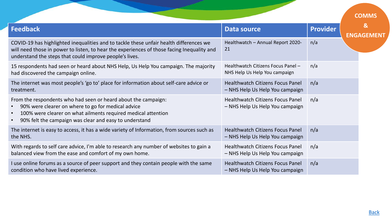<span id="page-30-0"></span>

|                                                                                                                                                                                                                                                              |                                                                            |                 | <b>COMMS</b>                      |
|--------------------------------------------------------------------------------------------------------------------------------------------------------------------------------------------------------------------------------------------------------------|----------------------------------------------------------------------------|-----------------|-----------------------------------|
| Feedback                                                                                                                                                                                                                                                     | <b>Data source</b>                                                         | <b>Provider</b> | $\mathbf{g}$<br><b>ENGAGEMENT</b> |
| COVID-19 has highlighted inequalities and to tackle these unfair health differences we<br>will need those in power to listen, to hear the experiences of those facing Inequality and<br>understand the steps that could improve people's lives.              | Healthwatch - Annual Report 2020-<br>21                                    | n/a             |                                   |
| 15 respondents had seen or heard about NHS Help, Us Help You campaign. The majority<br>had discovered the campaign online.                                                                                                                                   | Healthwatch Citizens Focus Panel -<br>NHS Help Us Help You campaign        | n/a             |                                   |
| The internet was most people's 'go to' place for information about self-care advice or<br>treatment.                                                                                                                                                         | <b>Healthwatch Citizens Focus Panel</b><br>- NHS Help Us Help You campaign | n/a             |                                   |
| From the respondents who had seen or heard about the campaign:<br>90% were clearer on where to go for medical advice<br>100% were clearer on what ailments required medical attention<br>90% felt the campaign was clear and easy to understand<br>$\bullet$ | <b>Healthwatch Citizens Focus Panel</b><br>- NHS Help Us Help You campaign | n/a             |                                   |
| The internet is easy to access, it has a wide variety of Information, from sources such as<br>the NHS.                                                                                                                                                       | <b>Healthwatch Citizens Focus Panel</b><br>- NHS Help Us Help You campaign | n/a             |                                   |
| With regards to self care advice, I'm able to research any number of websites to gain a<br>balanced view from the ease and comfort of my own home.                                                                                                           | <b>Healthwatch Citizens Focus Panel</b><br>- NHS Help Us Help You campaign | n/a             |                                   |
| I use online forums as a source of peer support and they contain people with the same<br>condition who have lived experience.                                                                                                                                | <b>Healthwatch Citizens Focus Panel</b><br>- NHS Help Us Help You campaign | n/a             |                                   |